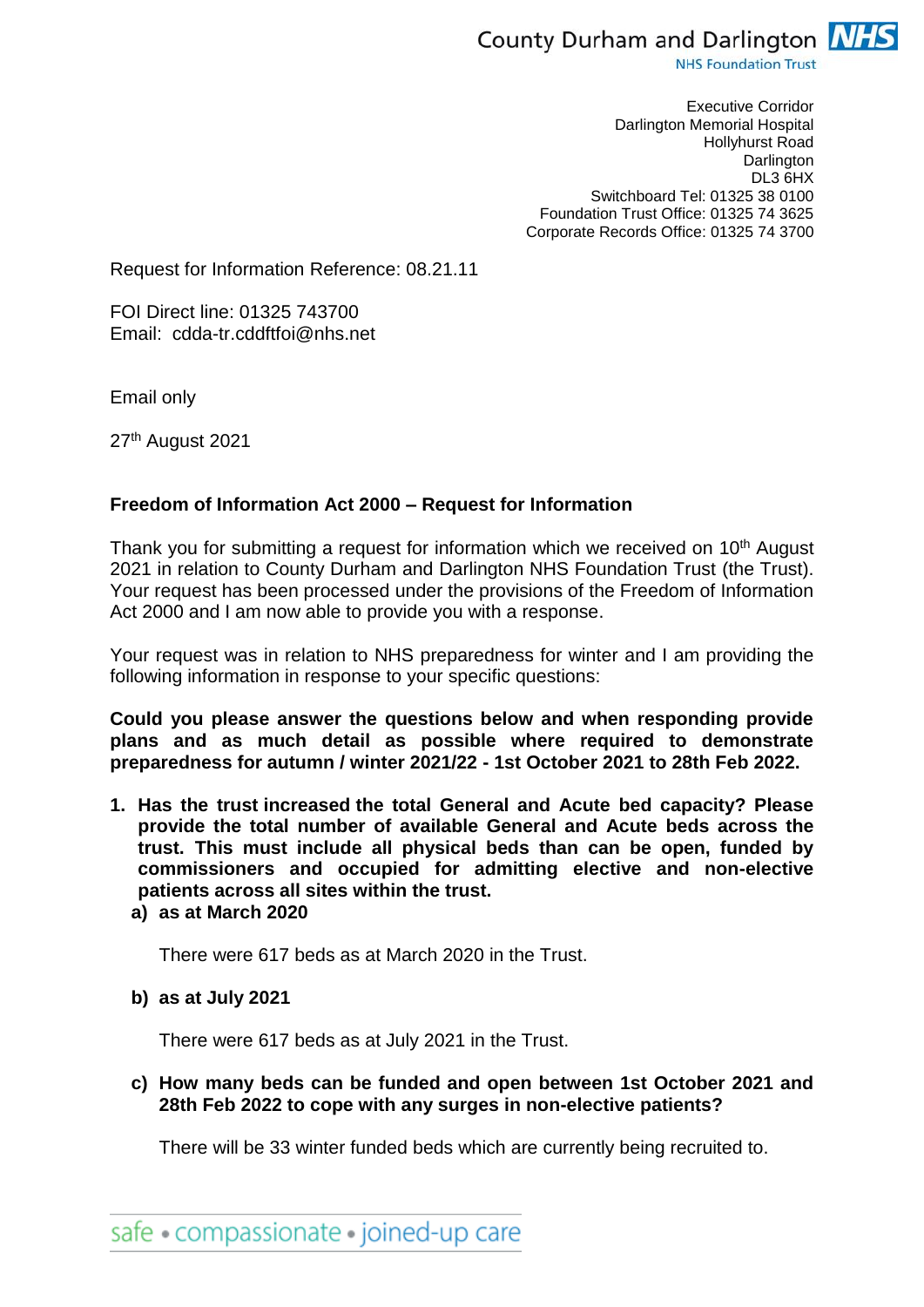

**NHS Foundation Trust** 

Executive Corridor Darlington Memorial Hospital Hollyhurst Road **Darlington** DL3 6HX Switchboard Tel: 01325 38 0100 Foundation Trust Office: 01325 74 3625 Corporate Records Office: 01325 74 3700

Request for Information Reference: 08.21.11

FOI Direct line: 01325 743700 Email: cdda-tr.cddftfoi@nhs.net

Email only

27th August 2021

## **Freedom of Information Act 2000 – Request for Information**

Thank you for submitting a request for information which we received on 10<sup>th</sup> August 2021 in relation to County Durham and Darlington NHS Foundation Trust (the Trust). Your request has been processed under the provisions of the Freedom of Information Act 2000 and I am now able to provide you with a response.

Your request was in relation to NHS preparedness for winter and I am providing the following information in response to your specific questions:

**Could you please answer the questions below and when responding provide plans and as much detail as possible where required to demonstrate preparedness for autumn / winter 2021/22 - 1st October 2021 to 28th Feb 2022.**

- **1. Has the trust increased the total General and Acute bed capacity? Please provide the total number of available General and Acute beds across the trust. This must include all physical beds than can be open, funded by commissioners and occupied for admitting elective and non-elective patients across all sites within the trust.**
	- **a) as at March 2020**

There were 617 beds as at March 2020 in the Trust.

**b) as at July 2021**

There were 617 beds as at July 2021 in the Trust.

**c) How many beds can be funded and open between 1st October 2021 and 28th Feb 2022 to cope with any surges in non-elective patients?**

There will be 33 winter funded beds which are currently being recruited to.